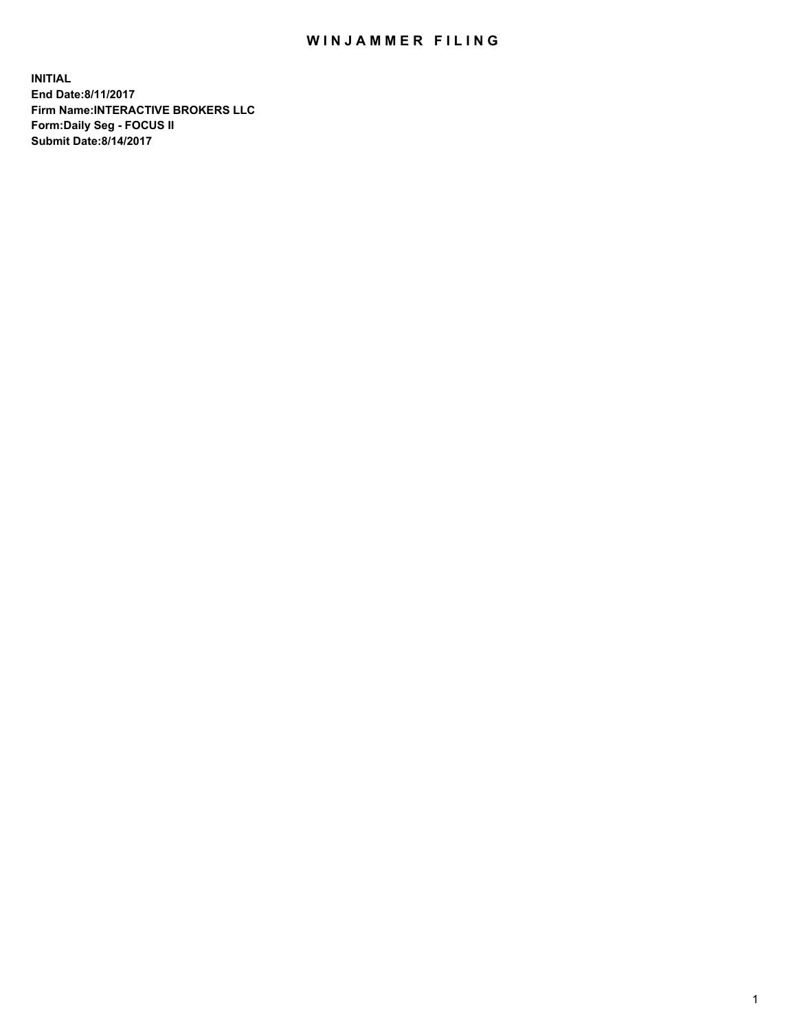## WIN JAMMER FILING

**INITIAL End Date:8/11/2017 Firm Name:INTERACTIVE BROKERS LLC Form:Daily Seg - FOCUS II Submit Date:8/14/2017**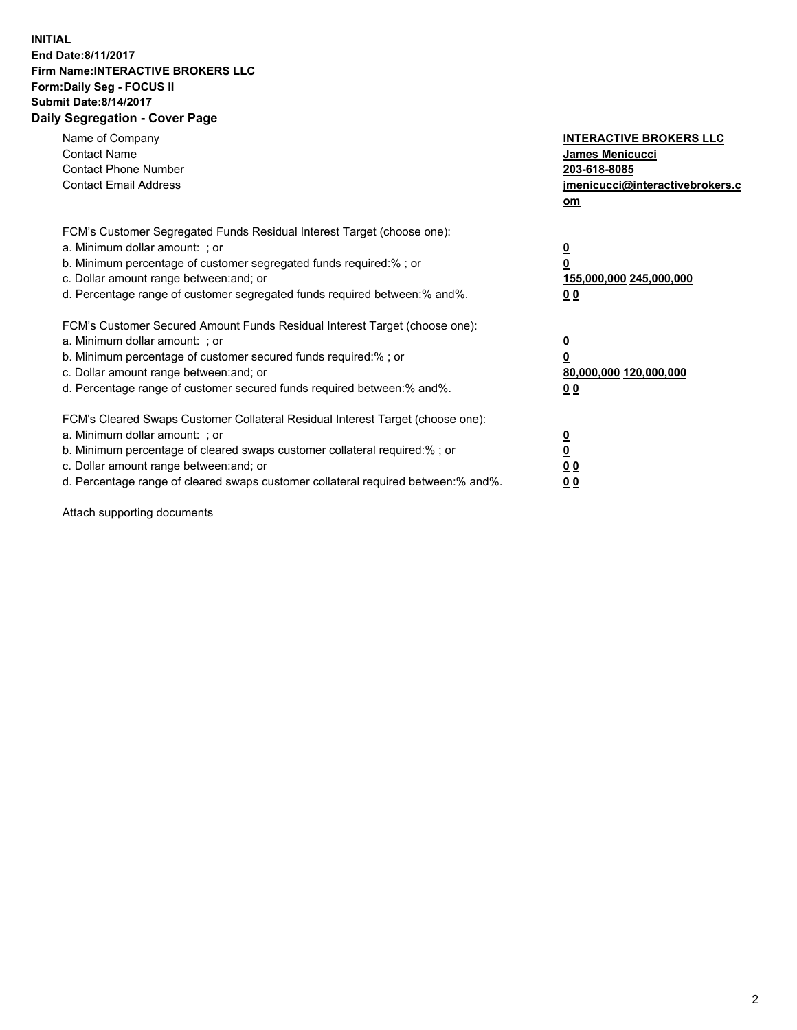## **INITIAL End Date:8/11/2017 Firm Name:INTERACTIVE BROKERS LLC Form:Daily Seg - FOCUS II Submit Date:8/14/2017 Daily Segregation - Cover Page**

| Name of Company<br><b>Contact Name</b><br><b>Contact Phone Number</b><br><b>Contact Email Address</b>                                                                                                                                                                                                                          | <b>INTERACTIVE BROKERS LLC</b><br>James Menicucci<br>203-618-8085<br>jmenicucci@interactivebrokers.c<br>om |
|--------------------------------------------------------------------------------------------------------------------------------------------------------------------------------------------------------------------------------------------------------------------------------------------------------------------------------|------------------------------------------------------------------------------------------------------------|
| FCM's Customer Segregated Funds Residual Interest Target (choose one):<br>a. Minimum dollar amount: ; or<br>b. Minimum percentage of customer segregated funds required:%; or<br>c. Dollar amount range between: and; or<br>d. Percentage range of customer segregated funds required between:% and%.                          | $\overline{\mathbf{0}}$<br>0<br>155,000,000 245,000,000<br>0 <sub>0</sub>                                  |
| FCM's Customer Secured Amount Funds Residual Interest Target (choose one):<br>a. Minimum dollar amount: ; or<br>b. Minimum percentage of customer secured funds required:%; or<br>c. Dollar amount range between: and; or<br>d. Percentage range of customer secured funds required between:% and%.                            | $\overline{\mathbf{0}}$<br>$\overline{\mathbf{0}}$<br>80,000,000 120,000,000<br>00                         |
| FCM's Cleared Swaps Customer Collateral Residual Interest Target (choose one):<br>a. Minimum dollar amount: ; or<br>b. Minimum percentage of cleared swaps customer collateral required:% ; or<br>c. Dollar amount range between: and; or<br>d. Percentage range of cleared swaps customer collateral required between:% and%. | $\overline{\mathbf{0}}$<br>$\overline{\mathbf{0}}$<br>0 <sub>0</sub><br><u>00</u>                          |

Attach supporting documents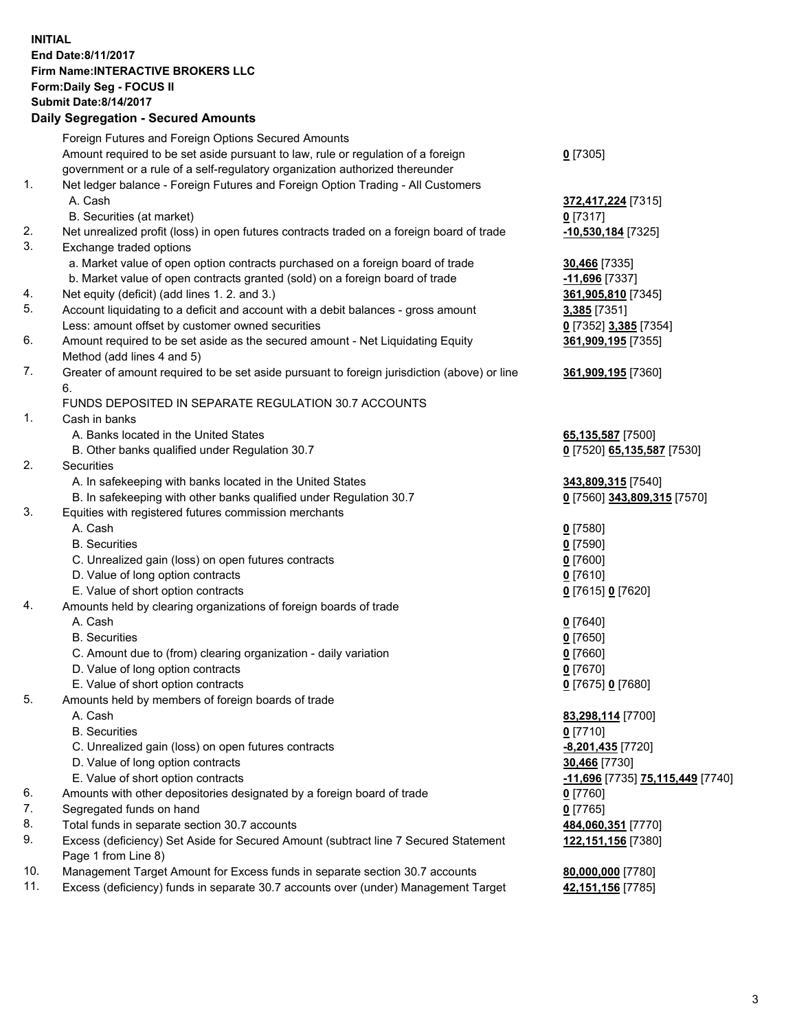## **INITIAL End Date:8/11/2017 Firm Name:INTERACTIVE BROKERS LLC Form:Daily Seg - FOCUS II Submit Date:8/14/2017 Daily Segregation - Secured Amounts**

|     | Dany Oogrogaach - Ocearea Amounte                                                                          |                                  |
|-----|------------------------------------------------------------------------------------------------------------|----------------------------------|
|     | Foreign Futures and Foreign Options Secured Amounts                                                        |                                  |
|     | Amount required to be set aside pursuant to law, rule or regulation of a foreign                           | $0$ [7305]                       |
|     | government or a rule of a self-regulatory organization authorized thereunder                               |                                  |
| 1.  | Net ledger balance - Foreign Futures and Foreign Option Trading - All Customers                            |                                  |
|     | A. Cash                                                                                                    | 372,417,224 [7315]               |
|     | B. Securities (at market)                                                                                  | $0$ [7317]                       |
| 2.  | Net unrealized profit (loss) in open futures contracts traded on a foreign board of trade                  | 10,530,184 [7325]                |
| 3.  | Exchange traded options                                                                                    |                                  |
|     | a. Market value of open option contracts purchased on a foreign board of trade                             | <b>30,466</b> [7335]             |
|     | b. Market value of open contracts granted (sold) on a foreign board of trade                               | -11,696 <sup>[7337]</sup>        |
| 4.  | Net equity (deficit) (add lines 1.2. and 3.)                                                               | 361,905,810 [7345]               |
| 5.  | Account liquidating to a deficit and account with a debit balances - gross amount                          | 3,385 [7351]                     |
|     | Less: amount offset by customer owned securities                                                           | 0 [7352] 3,385 [7354]            |
| 6.  | Amount required to be set aside as the secured amount - Net Liquidating Equity                             | 361,909,195 [7355]               |
|     | Method (add lines 4 and 5)                                                                                 |                                  |
| 7.  | Greater of amount required to be set aside pursuant to foreign jurisdiction (above) or line                | 361,909,195 [7360]               |
|     | 6.                                                                                                         |                                  |
|     | FUNDS DEPOSITED IN SEPARATE REGULATION 30.7 ACCOUNTS                                                       |                                  |
| 1.  | Cash in banks                                                                                              |                                  |
|     | A. Banks located in the United States                                                                      | 65,135,587 [7500]                |
|     | B. Other banks qualified under Regulation 30.7                                                             | 0 [7520] 65,135,587 [7530]       |
| 2.  | <b>Securities</b>                                                                                          |                                  |
|     | A. In safekeeping with banks located in the United States                                                  | 343,809,315 [7540]               |
|     | B. In safekeeping with other banks qualified under Regulation 30.7                                         | 0 [7560] 343,809,315 [7570]      |
| 3.  | Equities with registered futures commission merchants                                                      |                                  |
|     | A. Cash                                                                                                    | $0$ [7580]                       |
|     | <b>B.</b> Securities                                                                                       | $0$ [7590]                       |
|     | C. Unrealized gain (loss) on open futures contracts                                                        | $0$ [7600]                       |
|     | D. Value of long option contracts                                                                          | $0$ [7610]                       |
|     | E. Value of short option contracts                                                                         | 0 [7615] 0 [7620]                |
| 4.  | Amounts held by clearing organizations of foreign boards of trade                                          |                                  |
|     | A. Cash                                                                                                    | $0$ [7640]                       |
|     | <b>B.</b> Securities                                                                                       | $0$ [7650]                       |
|     | C. Amount due to (from) clearing organization - daily variation                                            | $0$ [7660]                       |
|     | D. Value of long option contracts                                                                          | $0$ [7670]                       |
|     | E. Value of short option contracts                                                                         | 0 [7675] 0 [7680]                |
| 5.  | Amounts held by members of foreign boards of trade                                                         |                                  |
|     | A. Cash                                                                                                    | 83,298,114 [7700]                |
|     | <b>B.</b> Securities                                                                                       | $0$ [7710]                       |
|     | C. Unrealized gain (loss) on open futures contracts                                                        | -8,201,435 [7720]                |
|     | D. Value of long option contracts                                                                          | 30,466 [7730]                    |
|     | E. Value of short option contracts                                                                         | -11,696 [7735] 75,115,449 [7740] |
| 6.  | Amounts with other depositories designated by a foreign board of trade                                     | $0$ [7760]                       |
| 7.  | Segregated funds on hand                                                                                   | $0$ [7765]                       |
| 8.  | Total funds in separate section 30.7 accounts                                                              | 484,060,351 [7770]               |
| 9.  | Excess (deficiency) Set Aside for Secured Amount (subtract line 7 Secured Statement<br>Page 1 from Line 8) | 122, 151, 156 [7380]             |
| 10. | Management Target Amount for Excess funds in separate section 30.7 accounts                                | 80,000,000 [7780]                |
| 11. | Excess (deficiency) funds in separate 30.7 accounts over (under) Management Target                         | 42,151,156 [7785]                |
|     |                                                                                                            |                                  |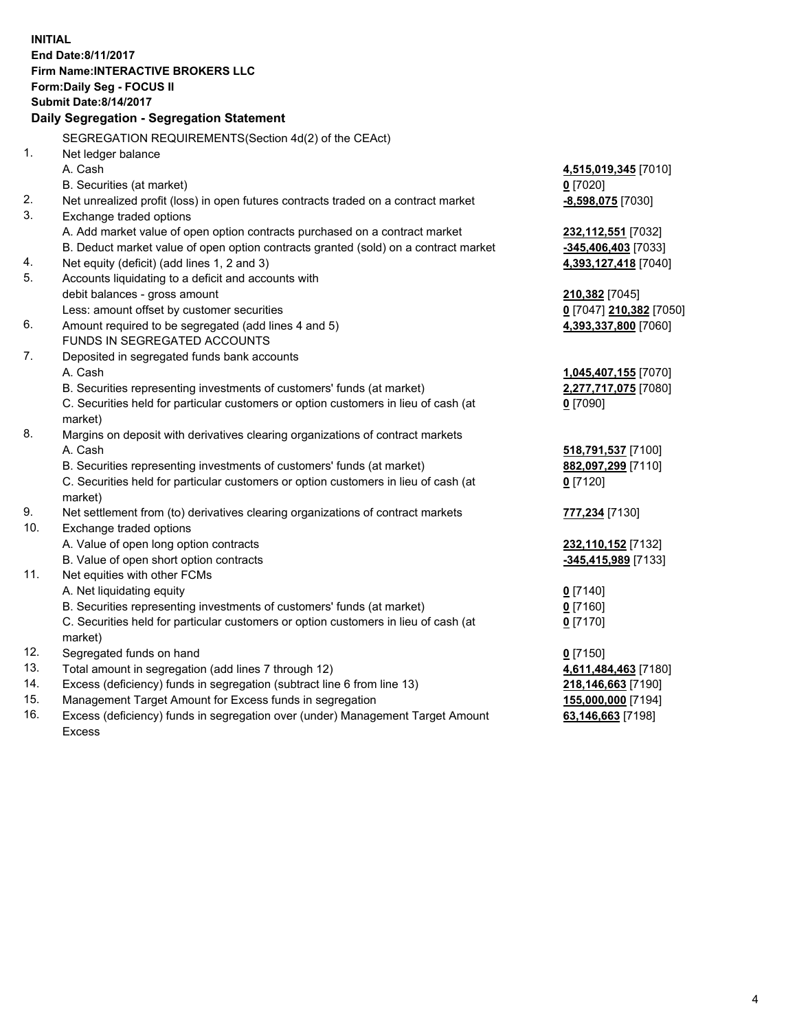**INITIAL End Date:8/11/2017 Firm Name:INTERACTIVE BROKERS LLC Form:Daily Seg - FOCUS II Submit Date:8/14/2017 Daily Segregation - Segregation Statement** SEGREGATION REQUIREMENTS(Section 4d(2) of the CEAct) 1. Net ledger balance A. Cash **4,515,019,345** [7010] B. Securities (at market) **0** [7020] 2. Net unrealized profit (loss) in open futures contracts traded on a contract market **-8,598,075** [7030] 3. Exchange traded options A. Add market value of open option contracts purchased on a contract market **232,112,551** [7032] B. Deduct market value of open option contracts granted (sold) on a contract market **-345,406,403** [7033] 4. Net equity (deficit) (add lines 1, 2 and 3) **4,393,127,418** [7040] 5. Accounts liquidating to a deficit and accounts with debit balances - gross amount **210,382** [7045] Less: amount offset by customer securities **0** [7047] **210,382** [7050] 6. Amount required to be segregated (add lines 4 and 5) **4,393,337,800** [7060] FUNDS IN SEGREGATED ACCOUNTS 7. Deposited in segregated funds bank accounts A. Cash **1,045,407,155** [7070] B. Securities representing investments of customers' funds (at market) **2,277,717,075** [7080] C. Securities held for particular customers or option customers in lieu of cash (at market) **0** [7090] 8. Margins on deposit with derivatives clearing organizations of contract markets A. Cash **518,791,537** [7100] B. Securities representing investments of customers' funds (at market) **882,097,299** [7110] C. Securities held for particular customers or option customers in lieu of cash (at market) **0** [7120] 9. Net settlement from (to) derivatives clearing organizations of contract markets **777,234** [7130] 10. Exchange traded options A. Value of open long option contracts **232,110,152** [7132] B. Value of open short option contracts **-345,415,989** [7133] 11. Net equities with other FCMs A. Net liquidating equity **0** [7140] B. Securities representing investments of customers' funds (at market) **0** [7160] C. Securities held for particular customers or option customers in lieu of cash (at market) **0** [7170] 12. Segregated funds on hand **0** [7150] 13. Total amount in segregation (add lines 7 through 12) **4,611,484,463** [7180] 14. Excess (deficiency) funds in segregation (subtract line 6 from line 13) **218,146,663** [7190] 15. Management Target Amount for Excess funds in segregation **155,000,000** [7194] 16. Excess (deficiency) funds in segregation over (under) Management Target Amount **63,146,663** [7198]

Excess